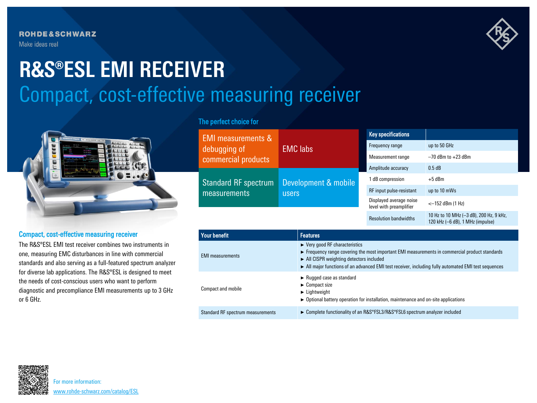**ROHDE&SCHWARZ** Make ideas real



# Compact, cost-effective measuring receiver **R&S®ESL EMI RECEIVER**



## Compact, cost-effective measuring receiver

The R&S®ESL EMI test receiver combines two instruments in one, measuring EMC disturbances in line with commercial standards and also serving as a full-featured spectrum analyzer for diverse lab applications. The R&S®ESL is designed to meet the needs of cost-conscious users who want to perform diagnostic and precompliance EMI measurements up to 3 GHz or 6 GHz.

## The perfect choice for

| <b>EMI measurements &amp;</b><br>debugging of<br>commercial products<br>Standard RF spectrum<br>measurements | <b>EMC labs</b><br>Development & mobile<br>users | <b>Key specifications</b>                          |                              |
|--------------------------------------------------------------------------------------------------------------|--------------------------------------------------|----------------------------------------------------|------------------------------|
|                                                                                                              |                                                  | Frequency range                                    | up to 50 GHz                 |
|                                                                                                              |                                                  | Measurement range                                  | $-70$ dBm to $+23$ dBm       |
|                                                                                                              |                                                  | Amplitude accuracy                                 | 0.5 dB                       |
|                                                                                                              |                                                  | I dB compression                                   | $+5$ dBm                     |
|                                                                                                              |                                                  | RF input pulse-resistant                           | up to 10 mWs                 |
|                                                                                                              |                                                  | Displayed average noise<br>level with preamplifier | $<-152$ dBm $(1 \text{ Hz})$ |
|                                                                                                              |                                                  |                                                    | $10 L - 10 M - 10 M - 12 M$  |

| <b>Resolution bandwidths</b> |
|------------------------------|
|                              |

|                       | 10 Hz to 10 MHz (-3 dB), 200 Hz, 9 kHz, |  |  |
|-----------------------|-----------------------------------------|--|--|
| Resolution bandwidths | $120$ kHz ( $-6$ dB), 1 MHz (impulse)   |  |  |

| Your benefit                      | <b>Features</b>                                                                                                                                                                                                                                                                                                |
|-----------------------------------|----------------------------------------------------------------------------------------------------------------------------------------------------------------------------------------------------------------------------------------------------------------------------------------------------------------|
| <b>EMI</b> measurements           | $\triangleright$ Very good RF characteristics<br>$\triangleright$ Frequency range covering the most important EMI measurements in commercial product standards<br>All CISPR weighting detectors included<br>All major functions of an advanced EMI test receiver, including fully automated EMI test sequences |
| Compact and mobile                | $\blacktriangleright$ Rugged case as standard<br>$\blacktriangleright$ Compact size<br>$\blacktriangleright$ Lightweight<br>$\triangleright$ Optional battery operation for installation, maintenance and on-site applications                                                                                 |
| Standard RF spectrum measurements | ► Complete functionality of an R&S®FSL3/R&S®FSL6 spectrum analyzer included                                                                                                                                                                                                                                    |